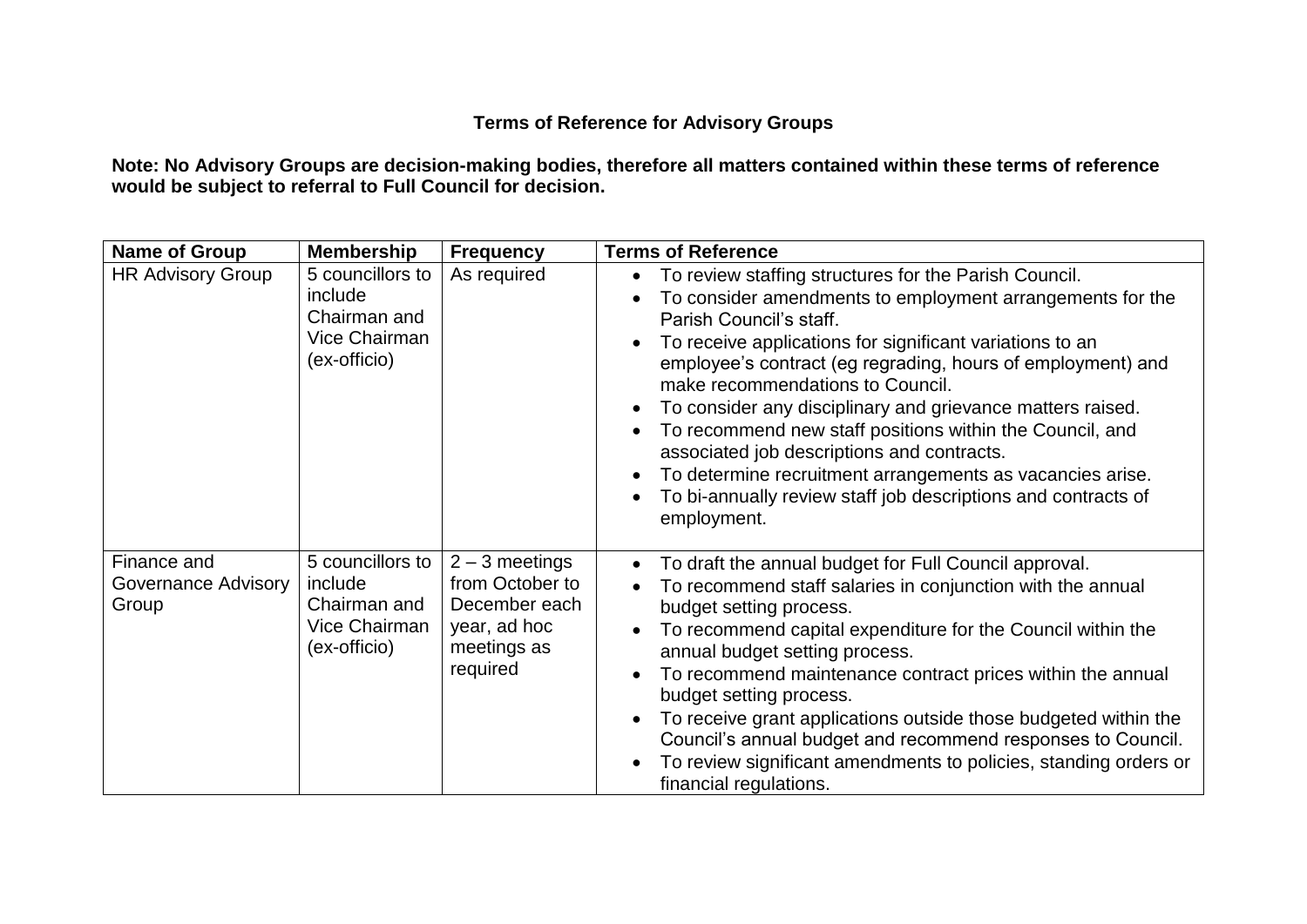## **Terms of Reference for Advisory Groups**

**Note: No Advisory Groups are decision-making bodies, therefore all matters contained within these terms of reference would be subject to referral to Full Council for decision.**

| <b>Name of Group</b>                        | <b>Membership</b>                                                            | <b>Frequency</b>                                                                                | <b>Terms of Reference</b>                                                                                                                                                                                                                                                                                                                                                                                                                                                                                                                                                                                                         |
|---------------------------------------------|------------------------------------------------------------------------------|-------------------------------------------------------------------------------------------------|-----------------------------------------------------------------------------------------------------------------------------------------------------------------------------------------------------------------------------------------------------------------------------------------------------------------------------------------------------------------------------------------------------------------------------------------------------------------------------------------------------------------------------------------------------------------------------------------------------------------------------------|
| <b>HR Advisory Group</b>                    | 5 councillors to<br>include<br>Chairman and<br>Vice Chairman<br>(ex-officio) | As required                                                                                     | To review staffing structures for the Parish Council.<br>To consider amendments to employment arrangements for the<br>Parish Council's staff.<br>To receive applications for significant variations to an<br>employee's contract (eg regrading, hours of employment) and<br>make recommendations to Council.<br>To consider any disciplinary and grievance matters raised.<br>To recommend new staff positions within the Council, and<br>associated job descriptions and contracts.<br>To determine recruitment arrangements as vacancies arise.<br>To bi-annually review staff job descriptions and contracts of<br>employment. |
| Finance and<br>Governance Advisory<br>Group | 5 councillors to<br>include<br>Chairman and<br>Vice Chairman<br>(ex-officio) | $2 - 3$ meetings<br>from October to<br>December each<br>year, ad hoc<br>meetings as<br>required | To draft the annual budget for Full Council approval.<br>To recommend staff salaries in conjunction with the annual<br>budget setting process.<br>To recommend capital expenditure for the Council within the<br>annual budget setting process.<br>To recommend maintenance contract prices within the annual<br>budget setting process.<br>To receive grant applications outside those budgeted within the<br>Council's annual budget and recommend responses to Council.<br>To review significant amendments to policies, standing orders or<br>financial regulations.                                                          |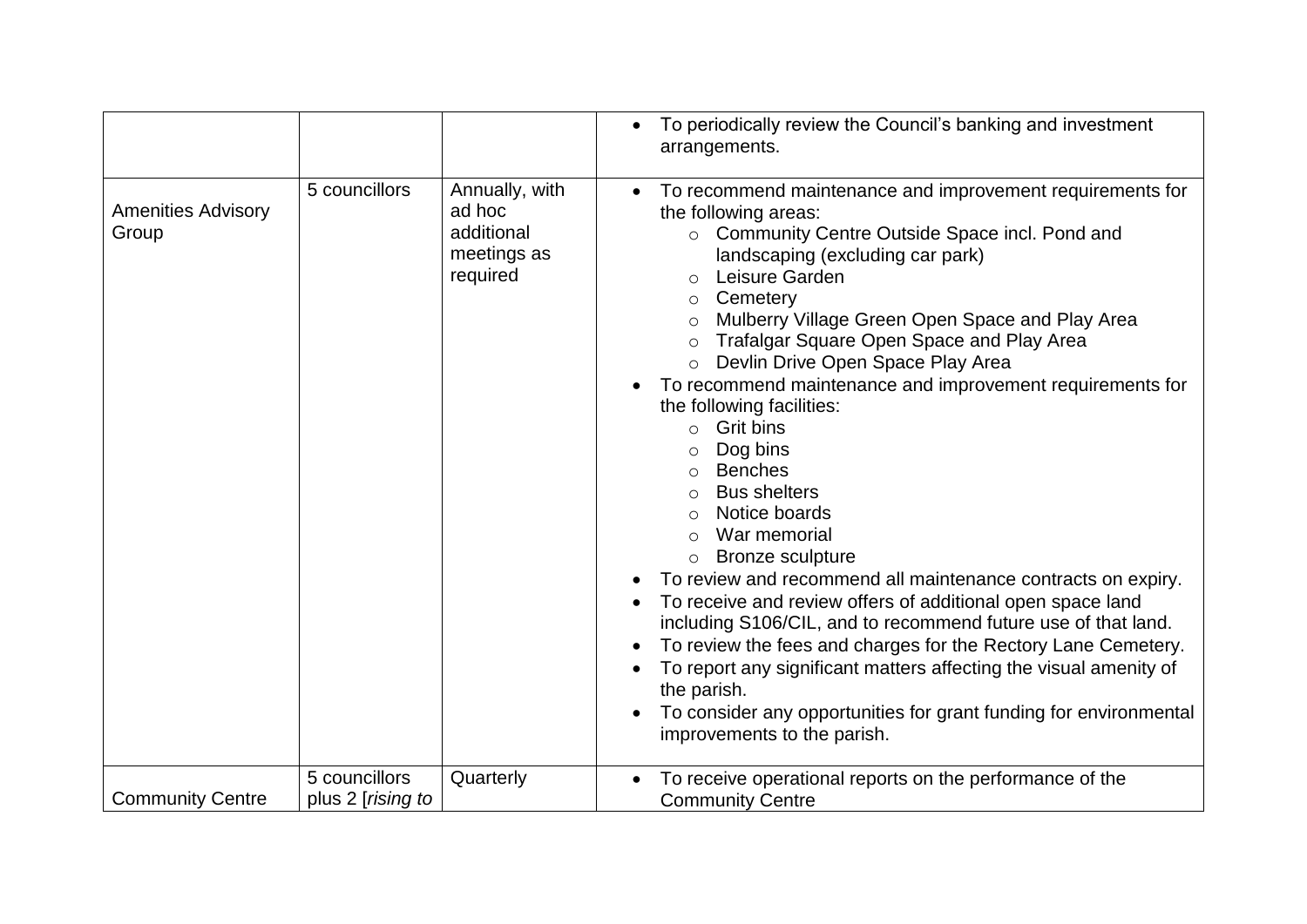|                                    |                                            |                                                                   | To periodically review the Council's banking and investment<br>arrangements.                                                                                                                                                                                                                                                                                                                                                                                                                                                                                                                                                                                                                                                                                                                                                                                                                                                                                                                                                                                                                          |
|------------------------------------|--------------------------------------------|-------------------------------------------------------------------|-------------------------------------------------------------------------------------------------------------------------------------------------------------------------------------------------------------------------------------------------------------------------------------------------------------------------------------------------------------------------------------------------------------------------------------------------------------------------------------------------------------------------------------------------------------------------------------------------------------------------------------------------------------------------------------------------------------------------------------------------------------------------------------------------------------------------------------------------------------------------------------------------------------------------------------------------------------------------------------------------------------------------------------------------------------------------------------------------------|
| <b>Amenities Advisory</b><br>Group | 5 councillors                              | Annually, with<br>ad hoc<br>additional<br>meetings as<br>required | To recommend maintenance and improvement requirements for<br>the following areas:<br>Community Centre Outside Space incl. Pond and<br>$\circ$<br>landscaping (excluding car park)<br>Leisure Garden<br>$\bigcirc$<br>Cemetery<br>$\circ$<br>Mulberry Village Green Open Space and Play Area<br>Trafalgar Square Open Space and Play Area<br>Devlin Drive Open Space Play Area<br>To recommend maintenance and improvement requirements for<br>the following facilities:<br><b>Grit bins</b><br>$\circ$<br>Dog bins<br><b>Benches</b><br>$\circ$<br><b>Bus shelters</b><br>Notice boards<br>War memorial<br><b>Bronze sculpture</b><br>$\circ$<br>To review and recommend all maintenance contracts on expiry.<br>To receive and review offers of additional open space land<br>including S106/CIL, and to recommend future use of that land.<br>To review the fees and charges for the Rectory Lane Cemetery.<br>To report any significant matters affecting the visual amenity of<br>the parish.<br>To consider any opportunities for grant funding for environmental<br>improvements to the parish. |
| <b>Community Centre</b>            | 5 councillors<br>plus 2 [ <i>rising to</i> | Quarterly                                                         | To receive operational reports on the performance of the<br><b>Community Centre</b>                                                                                                                                                                                                                                                                                                                                                                                                                                                                                                                                                                                                                                                                                                                                                                                                                                                                                                                                                                                                                   |